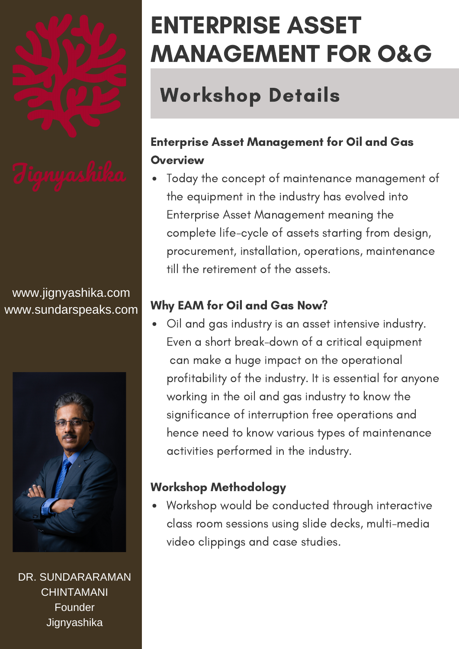

www.jignyashika.com www.sundarspeaks.com



DR. SUNDARARAMAN CHINTAMANI Founder **Jignyashika** 

# ENTERPRISE ASSET MANAGEMENT FOR O&G

## Workshop Details

## Enterprise Asset Management for Oil and Gas **Overview**

Today the concept of maintenance management of the equipment in the industry has evolved into Enterprise Asset Management meaning the complete life-cycle of assets starting from design, procurement, installation, operations, maintenance till the retirement of the assets.

### Why EAM for Oil and Gas Now?

Oil and gas industry is an asset intensive industry. Even a short break-down of a critical equipment can make a huge impact on the operational profitability of the industry. It is essential for anyone working in the oil and gas industry to know the significance of interruption free operations and hence need to know various types of maintenance activities performed in the industry.

### Workshop Methodology

Workshop would be conducted through interactive class room sessions using slide decks, multi-media video clippings and case studies.